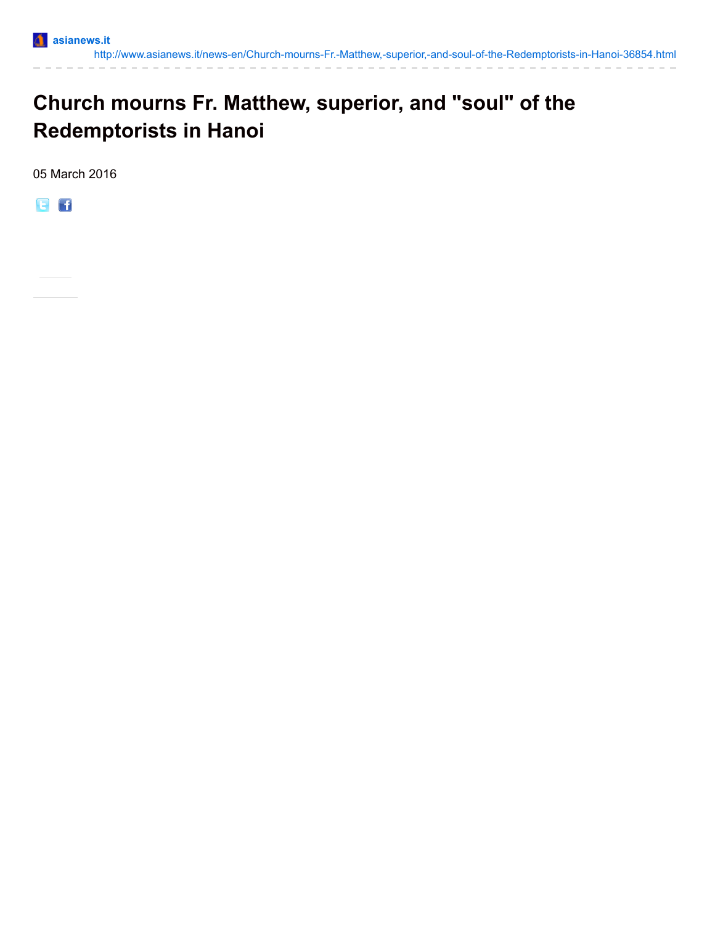

## **Church mourns Fr. Matthew, superior, and "soul" of the Redemptorists in Hanoi**

05 March 2016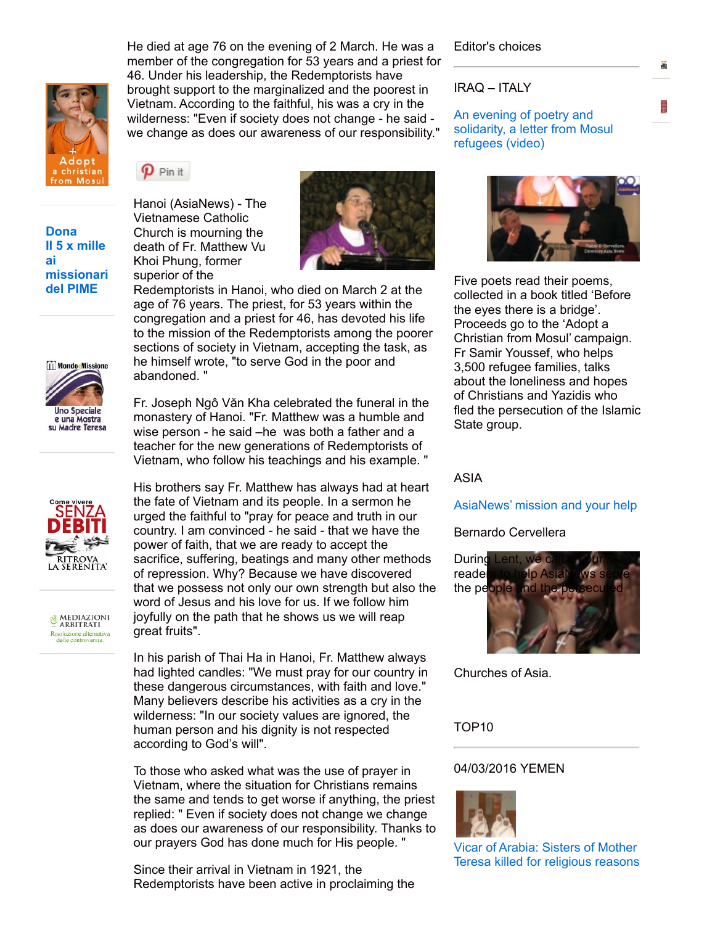He died at age 76 on the evening of 2 March. He was a member of the congregation for 53 years and a priest for 46. Under his leadership, the Redemptorists have brought support to the marginalized and the poorest in Vietnam. According to the faithful, his was a cry in the wilderness: "Even if society does not change - he said we change as does our awareness of our responsibility."

 $\boldsymbol{p}$  Pin it

Hanoi (AsiaNews) - The Vietnamese Catholic Church is mourning the death of Fr. Matthew Vu Khoi Phung, former superior of the



Redemptorists in Hanoi, who died on March 2 at the age of 76 years. The priest, for 53 years within the congregation and a priest for 46, has devoted his life to the mission of the Redemptorists among the poorer sections of society in Vietnam, accepting the task, as he himself wrote, "to serve God in the poor and abandoned. "

Fr. Joseph Ngô Văn Kha celebrated the funeral in the monastery of Hanoi. "Fr. Matthew was a humble and wise person - he said –he was both a father and a teacher for the new generations of Redemptorists of Vietnam, who follow his teachings and his example. "

His brothers say Fr. Matthew has always had at heart the fate of Vietnam and its people. In a sermon he urged the faithful to "pray for peace and truth in our country. I am convinced - he said - that we have the power of faith, that we are ready to accept the sacrifice, suffering, beatings and many other methods of repression. Why? Because we have discovered that we possess not only our own strength but also the word of Jesus and his love for us. If we follow him joyfully on the path that he shows us we will reap great fruits".

In his parish of Thai Ha in Hanoi, Fr. Matthew always had lighted candles: "We must pray for our country in these dangerous circumstances, with faith and love." Many believers describe his activities as a cry in the wilderness: "In our society values are ignored, the human person and his dignity is not respected according to God's will".

To those who asked what was the use of prayer in Vietnam, where the situation for Christians remains the same and tends to get worse if anything, the priest replied: " Even if society does not change we change as does our awareness of our responsibility. Thanks to our prayers God has done much for His people. "

Since their arrival in Vietnam in 1921, the Redemptorists have been active in proclaiming the